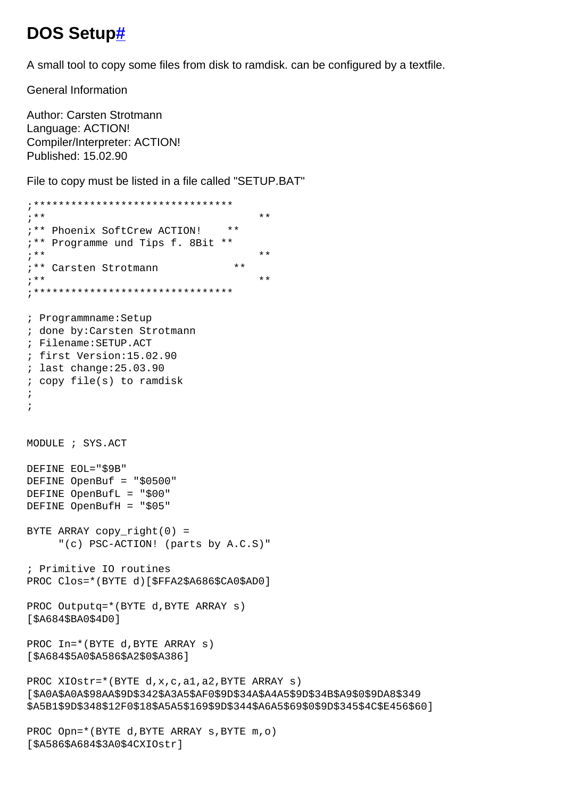## DOS Setup#

A small tool to copy some files from disk to ramdisk. can be configured by a textfile.

**General Information** 

Author: Carsten Strotmann Language: ACTION! Compiler/Interpreter: ACTION! Published: 15.02.90

[\$A586\$A684\$3A0\$4CXIOstr]

File to copy must be listed in a file called "SETUP.BAT"

```
;**** *;** Phoenix SoftCrew ACTION! **
;** Programme und Tips f. 8Bit **
;*********"** Carsten Strotmann
;***\star \star; Programmname: Setup
; done by: Carsten Strotmann
; Filename: SETUP.ACT
; first Version:15.02.90
; last change: 25.03.90
; copy file(s) to ramdisk
\cdot\cdotMODULE ; SYS.ACT
DEFINE EOL="$9B"
DEFINE OpenBuf = "$0500"
DEFINE OpenBufL = "$00"
DEFINE OpenBufH = "$05"
BYTE ARRAY copy_right(0) =
     "(c) PSC-ACTION! (parts by A.C.S)"
; Primitive IO routines
PROC Clos=*(BYTE d)[$FFA2$A686$CA0$AD0]
PROC Outputq=*(BYTE d, BYTE ARRAY s)
[ $A684$ $BA0$ $4D0]PROC In=*(BYTE d, BYTE ARRAY s)
[ $A684 $5A0 $A586 $A2$ $0$ $A386]PROC XIOstr=*(BYTE d, x, c, a1, a2, BYTE ARRAY s)
[$A0A$A0A$98AA$9D$342$A3A5$AF0$9D$34A$A4A5$9D$34B$A9$0$9DA8$349
$A5B1$9D$348$12F0$18$A5A5$169$9D$344$A6A5$69$0$9D$345$4C$E456$60]
PROC Opn=*(BYTE d, BYTE ARRAY s, BYTE m, o)
```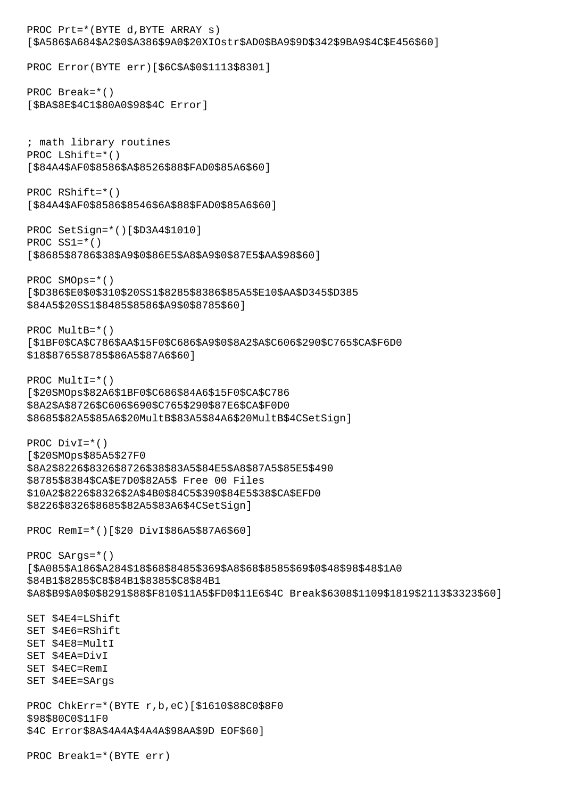PROC Prt=\*(BYTE d,BYTE ARRAY s) [\$A586\$A684\$A2\$0\$A386\$9A0\$20XIOstr\$AD0\$BA9\$9D\$342\$9BA9\$4C\$E456\$60] PROC Error(BYTE err)[\$6C\$A\$0\$1113\$8301] PROC Break=\*() [\$BA\$8E\$4C1\$80A0\$98\$4C Error] ; math library routines PROC LShift=\*() [\$84A4\$AF0\$8586\$A\$8526\$88\$FAD0\$85A6\$60] PROC RShift=\*() [\$84A4\$AF0\$8586\$8546\$6A\$88\$FAD0\$85A6\$60] PROC SetSign=\*()[\$D3A4\$1010] PROC SS1=\*() [\$8685\$8786\$38\$A9\$0\$86E5\$A8\$A9\$0\$87E5\$AA\$98\$60] PROC SMOps=\*() [\$D386\$E0\$0\$310\$20SS1\$8285\$8386\$85A5\$E10\$AA\$D345\$D385 \$84A5\$20SS1\$8485\$8586\$A9\$0\$8785\$60] PROC MultB=\*() [\$1BF0\$CA\$C786\$AA\$15F0\$C686\$A9\$0\$8A2\$A\$C606\$290\$C765\$CA\$F6D0 \$18\$8765\$8785\$86A5\$87A6\$60] PROC Mult $I=\star$ () [\$20SMOps\$82A6\$1BF0\$C686\$84A6\$15F0\$CA\$C786 \$8A2\$A\$8726\$C606\$690\$C765\$290\$87E6\$CA\$F0D0 \$8685\$82A5\$85A6\$20MultB\$83A5\$84A6\$20MultB\$4CSetSign] PROC DivI=\*() [\$20SMOps\$85A5\$27F0 \$8A2\$8226\$8326\$8726\$38\$83A5\$84E5\$A8\$87A5\$85E5\$490 \$8785\$8384\$CA\$E7D0\$82A5\$ Free 00 Files \$10A2\$8226\$8326\$2A\$4B0\$84C5\$390\$84E5\$38\$CA\$EFD0 \$8226\$8326\$8685\$82A5\$83A6\$4CSetSign] PROC RemI=\*()[\$20 DivI\$86A5\$87A6\$60] PROC SArgs=\*() [\$A085\$A186\$A284\$18\$68\$8485\$369\$A8\$68\$8585\$69\$0\$48\$98\$48\$1A0 \$84B1\$8285\$C8\$84B1\$8385\$C8\$84B1 \$A8\$B9\$A0\$0\$8291\$88\$F810\$11A5\$FD0\$11E6\$4C Break\$6308\$1109\$1819\$2113\$3323\$60] SET \$4E4=LShift SET \$4E6=RShift SET \$4E8=MultI SET \$4EA=DivI SET \$4EC=RemI SET \$4EE=SArgs PROC ChkErr=\*(BYTE r,b,eC)[\$1610\$88C0\$8F0 \$98\$80C0\$11F0 \$4C Error\$8A\$4A4A\$4A4A\$98AA\$9D EOF\$60] PROC Break1=\*(BYTE err)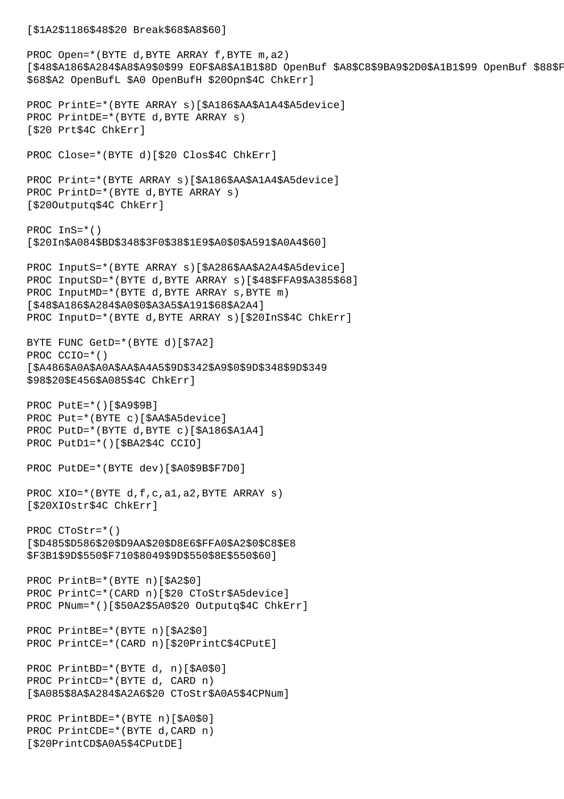```
[$1A2$1186$48$20 Break$68$A8$60]
PROC Open=*(BYTE d, BYTE ARRAY f, BYTE m, a2)
[$48$A186$A284$A8$A9$0$99 EOF$A8$A1B1$8D OpenBuf $A8$C8$9BA9$2D0$A1B1$99 OpenBuf $88$F8D0
$68$A2 OpenBufL $A0 OpenBufH $20Opn$4C ChkErr]
PROC PrintE=*(BYTE ARRAY s)[$A186$AA$A1A4$A5device]
PROC PrintDE=*(BYTE d,BYTE ARRAY s)
[$20 Prt$4C ChkErr]
PROC Close=*(BYTE d)[$20 Clos$4C ChkErr]
PROC Print=*(BYTE ARRAY s)[$A186$AA$A1A4$A5device]
PROC PrintD=*(BYTE d,BYTE ARRAY s)
[$20Outputq$4C ChkErr]
PROC InS=*()
[$20In$A084$BD$348$3F0$38$1E9$A0$0$A591$A0A4$60]
PROC InputS=*(BYTE ARRAY s)[$A286$AA$A2A4$A5device]
PROC InputSD=*(BYTE d,BYTE ARRAY s)[$48$FFA9$A385$68]
PROC InputMD=*(BYTE d, BYTE ARRAY s, BYTE m)
[$48$A186$A284$A0$0$A3A5$A191$68$A2A4]
PROC InputD=*(BYTE d,BYTE ARRAY s)[$20InS$4C ChkErr]
BYTE FUNC GetD=*(BYTE d)[$7A2]
PROC CCIO=*()
[$A486$A0A$A0A$AA$A4A5$9D$342$A9$0$9D$348$9D$349
$98$20$E456$A085$4C ChkErr]
PROC PutE=*()[$A9$9B]
PROC Put=*(BYTE c)[$AA$A5device]
PROC PutD=*(BYTE d,BYTE c)[$A186$A1A4]
PROC PutD1=*()[$BA2$4C CCIO]
PROC PutDE=*(BYTE dev)[$A0$9B$F7D0]
PROC XIO=*(BYTE d,f,c,a1,a2,BYTE ARRAY s)
[$20XIOstr$4C ChkErr]
PROC CToStr=*()
[$D485$D586$20$D9AA$20$D8E6$FFA0$A2$0$C8$E8
$F3B1$9D$550$F710$8049$9D$550$8E$550$60]
PROC PrintB=*(BYTE n)[$A2$0]
PROC PrintC=*(CARD n)[$20 CToStr$A5device]
PROC PNum=*()[$50A2$5A0$20 Outputq$4C ChkErr]
PROC PrintBE=*(BYTE n)[$A2$0]
PROC PrintCE=*(CARD n)[$20PrintC$4CPutE]
PROC PrintBD=*(BYTE d, n)[$A0$0]
PROC PrintCD=*(BYTE d, CARD n)
[$A085$8A$A284$A2A6$20 CToStr$A0A5$4CPNum]
PROC PrintBDE=*(BYTE n)[$A0$0]
PROC PrintCDE=*(BYTE d,CARD n)
[$20PrintCD$A0A5$4CPutDE]
```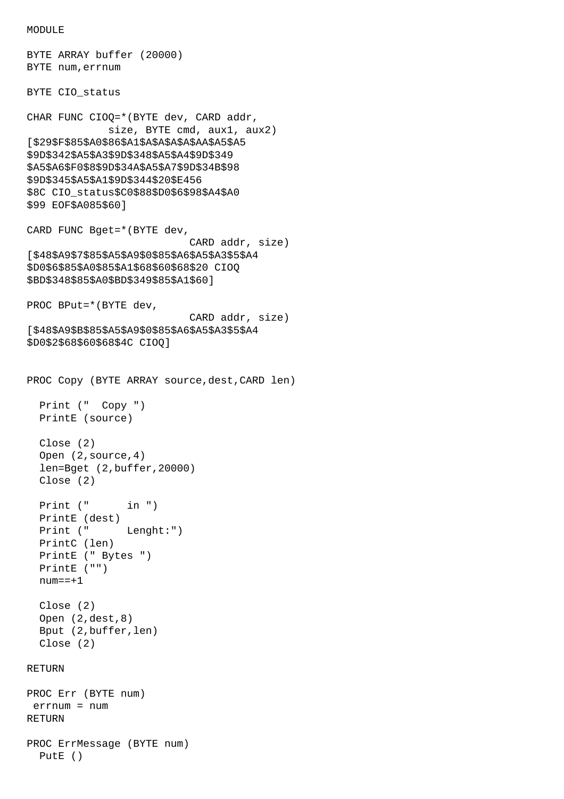```
MODULE<sub>E</sub>
```
PutE ()

```
BYTE ARRAY buffer (20000)
BYTE num,errnum
BYTE CIO_status
CHAR FUNC CIOQ=*(BYTE dev, CARD addr,
              size, BYTE cmd, aux1, aux2)
[$29$F$85$A0$86$A1$A$A$A$A$AA$A5$A5
$9D$342$A5$A3$9D$348$A5$A4$9D$349
$A5$A6$F0$8$9D$34A$A5$A7$9D$34B$98
$9D$345$A5$A1$9D$344$20$E456
$8C CIO status$C0$88$D0$6$98$A4$A0
$99 EOF$A085$60]
CARD FUNC Bget=*(BYTE dev,
                            CARD addr, size)
[$48$A9$7$85$A5$A9$0$85$A6$A5$A3$5$A4
$D0$6$85$A0$85$A1$68$60$68$20 CIOQ
$BD$348$85$A0$BD$349$85$A1$60]
PROC BPut=*(BYTE dev,
                            CARD addr, size)
[$48$A9$B$85$A5$A9$0$85$A6$A5$A3$5$A4
$D0$2$68$60$68$4C CIOQ]
PROC Copy (BYTE ARRAY source,dest,CARD len)
   Print (" Copy ")
   PrintE (source)
   Close (2)
   Open (2,source,4)
   len=Bget (2,buffer,20000)
   Close (2)
  Print (" in ")
   PrintE (dest)
   Print (" Lenght:")
   PrintC (len)
   PrintE (" Bytes ")
   PrintE ("")
  num==+1 Close (2)
   Open (2,dest,8)
   Bput (2,buffer,len)
   Close (2)
RETURN
PROC Err (BYTE num)
 errnum = num
RETURN
PROC ErrMessage (BYTE num)
```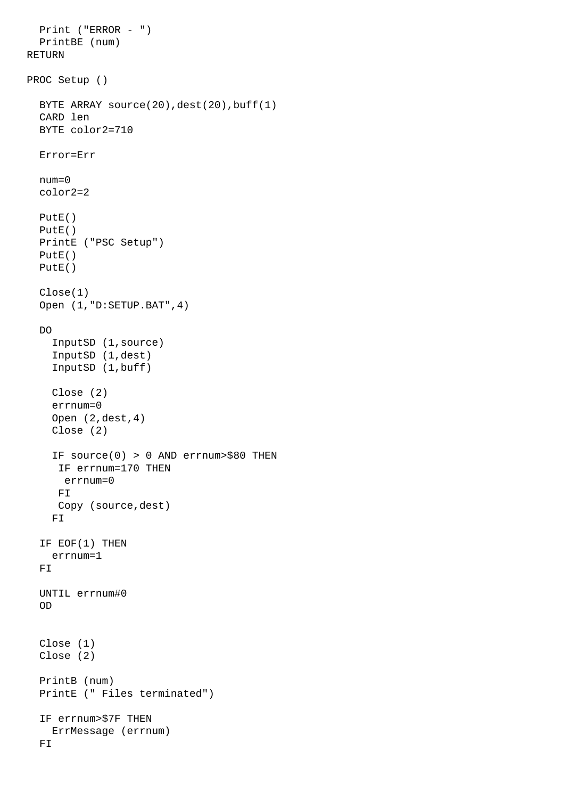```
 Print ("ERROR - ")
   PrintBE (num)
RETURN
PROC Setup ()
   BYTE ARRAY source(20),dest(20),buff(1)
   CARD len
   BYTE color2=710
   Error=Err
   num=0
   color2=2
   PutE()
   PutE()
   PrintE ("PSC Setup")
   PutE()
   PutE()
   Close(1)
   Open (1,"D:SETUP.BAT",4)
   DO
     InputSD (1,source)
     InputSD (1,dest)
     InputSD (1,buff)
     Close (2)
     errnum=0
     Open (2,dest,4)
     Close (2)
     IF source(0) > 0 AND errnum>$80 THEN
      IF errnum=170 THEN
       errnum=0
      FI
      Copy (source,dest)
     FI
   IF EOF(1) THEN 
     errnum=1
  F<sub>T</sub>
   UNTIL errnum#0
   OD
   Close (1)
   Close (2)
   PrintB (num)
   PrintE (" Files terminated")
   IF errnum>$7F THEN
     ErrMessage (errnum)
   FI
```